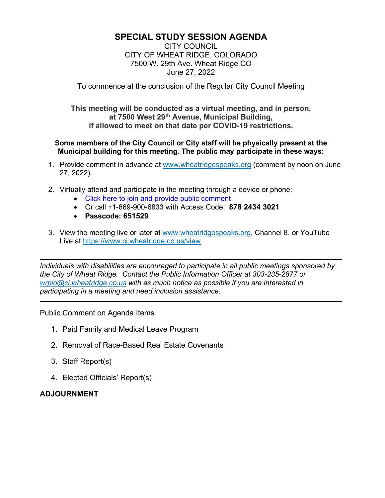# **SPECIAL STUDY SESSION AGENDA**

CITY COUNCIL CITY OF WHEAT RIDGE, COLORADO 7500 W. 29th Ave. Wheat Ridge CO June 27, 2022

To commence at the conclusion of the Regular City Council Meeting

**This meeting will be conducted as a virtual meeting, and in person, at 7500 West 29th Avenue, Municipal Building, if allowed to meet on that date per COVID-19 restrictions.**

#### **Some members of the City Council or City staff will be physically present at the Municipal building for this meeting. The public may participate in these ways:**

- 1. Provide comment in advance at [www.wheatridgespeaks.org](http://www.wheatridgespeaks.org/) (comment by noon on June 27, 2022).
- 2. Virtually attend and participate in the meeting through a device or phone:
	- [Click here to join and provide public comment](https://us06web.zoom.us/j/87824343021)
	- Or call +1-669-900-6833 with Access Code: **878 2434 3021**
	- **Passcode: 651529**
- 3. View the meeting live or later at [www.wheatridgespeaks.org,](http://www.wheatridgespeaks.org/) Channel 8, or YouTube Live at<https://www.ci.wheatridge.co.us/view>

*Individuals with disabilities are encouraged to participate in all public meetings sponsored by the City of Wheat Ridge. Contact the Public Information Officer at 303-235-2877 or [wrpio@ci.wheatridge.co.us](mailto:wrpio@ci.wheatridge.co.us) with as much notice as possible if you are interested in participating in a meeting and need inclusion assistance.*

Public Comment on Agenda Items

- 1. Paid Family and Medical Leave Program
- 2. Removal of Race-Based Real Estate Covenants
- 3. Staff Report(s)
- 4. Elected Officials' Report(s)

# **ADJOURNMENT**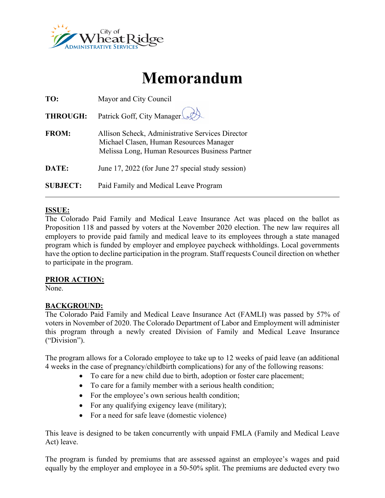

# **Memorandum**

| TO:             | Mayor and City Council                                                                                                                        |  |  |
|-----------------|-----------------------------------------------------------------------------------------------------------------------------------------------|--|--|
| <b>THROUGH:</b> | Patrick Goff, City Manager                                                                                                                    |  |  |
| <b>FROM:</b>    | Allison Scheck, Administrative Services Director<br>Michael Clasen, Human Resources Manager<br>Melissa Long, Human Resources Business Partner |  |  |
| DATE:           | June 17, 2022 (for June 27 special study session)                                                                                             |  |  |
| <b>SUBJECT:</b> | Paid Family and Medical Leave Program                                                                                                         |  |  |

#### **ISSUE:**

The Colorado Paid Family and Medical Leave Insurance Act was placed on the ballot as Proposition 118 and passed by voters at the November 2020 election. The new law requires all employers to provide paid family and medical leave to its employees through a state managed program which is funded by employer and employee paycheck withholdings. Local governments have the option to decline participation in the program. Staff requests Council direction on whether to participate in the program.

#### **PRIOR ACTION:**

None.

### **BACKGROUND:**

The Colorado Paid Family and Medical Leave Insurance Act (FAMLI) was passed by 57% of voters in November of 2020. The Colorado Department of Labor and Employment will administer this program through a newly created Division of Family and Medical Leave Insurance ("Division").

The program allows for a Colorado employee to take up to 12 weeks of paid leave (an additional 4 weeks in the case of pregnancy/childbirth complications) for any of the following reasons:

- To care for a new child due to birth, adoption or foster care placement;
- To care for a family member with a serious health condition;
- For the employee's own serious health condition;
- For any qualifying exigency leave (military);
- For a need for safe leave (domestic violence)

This leave is designed to be taken concurrently with unpaid FMLA (Family and Medical Leave Act) leave.

The program is funded by premiums that are assessed against an employee's wages and paid equally by the employer and employee in a 50-50% split. The premiums are deducted every two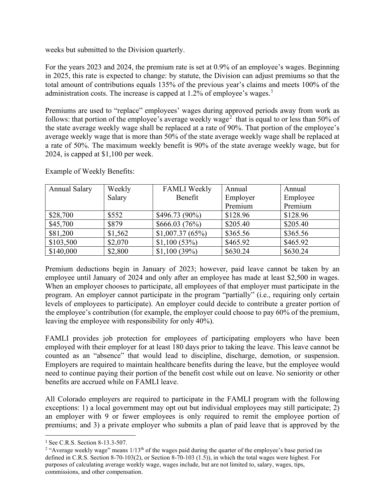weeks but submitted to the Division quarterly.

For the years 2023 and 2024, the premium rate is set at 0.9% of an employee's wages. Beginning in 2025, this rate is expected to change: by statute, the Division can adjust premiums so that the total amount of contributions equals 135% of the previous year's claims and meets 100% of the administration costs. The increase is capped at  $1.2\%$  $1.2\%$  of employee's wages.<sup>1</sup>

Premiums are used to "replace" employees' wages during approved periods away from work as follows: that portion of the employee's average weekly wage<sup>[2](#page-2-1)</sup> that is equal to or less than 50% of the state average weekly wage shall be replaced at a rate of 90%. That portion of the employee's average weekly wage that is more than 50% of the state average weekly wage shall be replaced at a rate of 50%. The maximum weekly benefit is 90% of the state average weekly wage, but for 2024, is capped at \$1,100 per week.

| <b>Annual Salary</b> | Weekly  | <b>FAMLI</b> Weekly | Annual   | Annual   |
|----------------------|---------|---------------------|----------|----------|
|                      | Salary  | Benefit             | Employer | Employee |
|                      |         |                     | Premium  | Premium  |
| \$28,700             | \$552   | $$496.73(90\%)$     | \$128.96 | \$128.96 |
| \$45,700             | \$879   | \$666.03 (76%)      | \$205.40 | \$205.40 |
| \$81,200             | \$1,562 | \$1,007.37(65%)     | \$365.56 | \$365.56 |
| \$103,500            | \$2,070 | $$1,100(53\%)$      | \$465.92 | \$465.92 |
| \$140,000            | \$2,800 | $$1,100(39\%)$      | \$630.24 | \$630.24 |

Example of Weekly Benefits:

Premium deductions begin in January of 2023; however, paid leave cannot be taken by an employee until January of 2024 and only after an employee has made at least \$2,500 in wages. When an employer chooses to participate, all employees of that employer must participate in the program. An employer cannot participate in the program "partially" (i.e., requiring only certain levels of employees to participate). An employer could decide to contribute a greater portion of the employee's contribution (for example, the employer could choose to pay 60% of the premium, leaving the employee with responsibility for only 40%).

FAMLI provides job protection for employees of participating employers who have been employed with their employer for at least 180 days prior to taking the leave. This leave cannot be counted as an "absence" that would lead to discipline, discharge, demotion, or suspension. Employers are required to maintain healthcare benefits during the leave, but the employee would need to continue paying their portion of the benefit cost while out on leave. No seniority or other benefits are accrued while on FAMLI leave.

All Colorado employers are required to participate in the FAMLI program with the following exceptions: 1) a local government may opt out but individual employees may still participate; 2) an employer with 9 or fewer employees is only required to remit the employee portion of premiums; and 3) a private employer who submits a plan of paid leave that is approved by the

<span id="page-2-0"></span><sup>&</sup>lt;sup>1</sup> See C.R.S. Section 8-13.3-507.

<span id="page-2-1"></span><sup>&</sup>lt;sup>2</sup> "Average weekly wage" means  $1/13<sup>th</sup>$  of the wages paid during the quarter of the employee's base period (as defined in C.R.S. Section 8-70-103(2), or Section 8-70-103 (1.5)), in which the total wages were highest. For purposes of calculating average weekly wage, wages include, but are not limited to, salary, wages, tips, commissions, and other compensation.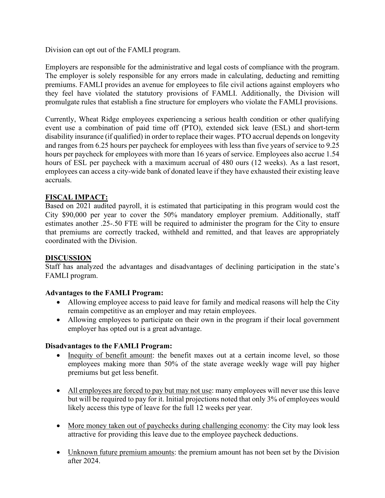Division can opt out of the FAMLI program.

Employers are responsible for the administrative and legal costs of compliance with the program. The employer is solely responsible for any errors made in calculating, deducting and remitting premiums. FAMLI provides an avenue for employees to file civil actions against employers who they feel have violated the statutory provisions of FAMLI. Additionally, the Division will promulgate rules that establish a fine structure for employers who violate the FAMLI provisions.

Currently, Wheat Ridge employees experiencing a serious health condition or other qualifying event use a combination of paid time off (PTO), extended sick leave (ESL) and short-term disability insurance (if qualified) in order to replace their wages. PTO accrual depends on longevity and ranges from 6.25 hours per paycheck for employees with less than five years of service to 9.25 hours per paycheck for employees with more than 16 years of service. Employees also accrue 1.54 hours of ESL per paycheck with a maximum accrual of 480 ours (12 weeks). As a last resort, employees can access a city-wide bank of donated leave if they have exhausted their existing leave accruals.

# **FISCAL IMPACT:**

Based on 2021 audited payroll, it is estimated that participating in this program would cost the City \$90,000 per year to cover the 50% mandatory employer premium. Additionally, staff estimates another .25-.50 FTE will be required to administer the program for the City to ensure that premiums are correctly tracked, withheld and remitted, and that leaves are appropriately coordinated with the Division.

### **DISCUSSION**

Staff has analyzed the advantages and disadvantages of declining participation in the state's FAMLI program.

#### **Advantages to the FAMLI Program:**

- Allowing employee access to paid leave for family and medical reasons will help the City remain competitive as an employer and may retain employees.
- Allowing employees to participate on their own in the program if their local government employer has opted out is a great advantage.

#### **Disadvantages to the FAMLI Program:**

- Inequity of benefit amount: the benefit maxes out at a certain income level, so those employees making more than 50% of the state average weekly wage will pay higher premiums but get less benefit.
- All employees are forced to pay but may not use: many employees will never use this leave but will be required to pay for it. Initial projections noted that only 3% of employees would likely access this type of leave for the full 12 weeks per year.
- More money taken out of paychecks during challenging economy: the City may look less attractive for providing this leave due to the employee paycheck deductions.
- Unknown future premium amounts: the premium amount has not been set by the Division after 2024.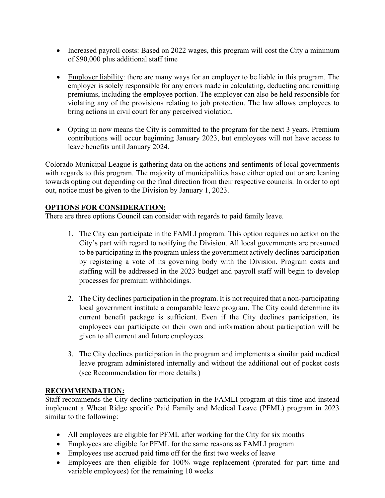- Increased payroll costs: Based on 2022 wages, this program will cost the City a minimum of \$90,000 plus additional staff time
- Employer liability: there are many ways for an employer to be liable in this program. The employer is solely responsible for any errors made in calculating, deducting and remitting premiums, including the employee portion. The employer can also be held responsible for violating any of the provisions relating to job protection. The law allows employees to bring actions in civil court for any perceived violation.
- Opting in now means the City is committed to the program for the next 3 years. Premium contributions will occur beginning January 2023, but employees will not have access to leave benefits until January 2024.

Colorado Municipal League is gathering data on the actions and sentiments of local governments with regards to this program. The majority of municipalities have either opted out or are leaning towards opting out depending on the final direction from their respective councils. In order to opt out, notice must be given to the Division by January 1, 2023.

# **OPTIONS FOR CONSIDERATION:**

There are three options Council can consider with regards to paid family leave.

- 1. The City can participate in the FAMLI program. This option requires no action on the City's part with regard to notifying the Division. All local governments are presumed to be participating in the program unless the government actively declines participation by registering a vote of its governing body with the Division. Program costs and staffing will be addressed in the 2023 budget and payroll staff will begin to develop processes for premium withholdings.
- 2. The City declines participation in the program. It is not required that a non-participating local government institute a comparable leave program. The City could determine its current benefit package is sufficient. Even if the City declines participation, its employees can participate on their own and information about participation will be given to all current and future employees.
- 3. The City declines participation in the program and implements a similar paid medical leave program administered internally and without the additional out of pocket costs (see Recommendation for more details.)

### **RECOMMENDATION:**

Staff recommends the City decline participation in the FAMLI program at this time and instead implement a Wheat Ridge specific Paid Family and Medical Leave (PFML) program in 2023 similar to the following:

- All employees are eligible for PFML after working for the City for six months
- Employees are eligible for PFML for the same reasons as FAMLI program
- Employees use accrued paid time off for the first two weeks of leave
- Employees are then eligible for 100% wage replacement (prorated for part time and variable employees) for the remaining 10 weeks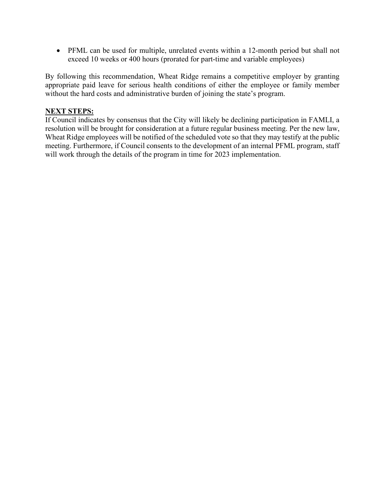• PFML can be used for multiple, unrelated events within a 12-month period but shall not exceed 10 weeks or 400 hours (prorated for part-time and variable employees)

By following this recommendation, Wheat Ridge remains a competitive employer by granting appropriate paid leave for serious health conditions of either the employee or family member without the hard costs and administrative burden of joining the state's program.

#### **NEXT STEPS:**

If Council indicates by consensus that the City will likely be declining participation in FAMLI, a resolution will be brought for consideration at a future regular business meeting. Per the new law, Wheat Ridge employees will be notified of the scheduled vote so that they may testify at the public meeting. Furthermore, if Council consents to the development of an internal PFML program, staff will work through the details of the program in time for 2023 implementation.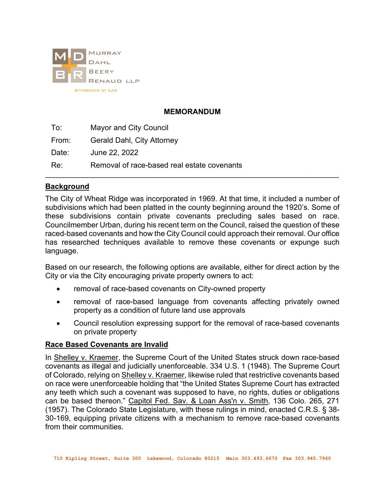

## **MEMORANDUM**

To: Mayor and City Council From: Gerald Dahl, City Attorney Date: June 22, 2022 Re: Removal of race-based real estate covenants \_\_\_\_\_\_\_\_\_\_\_\_\_\_\_\_\_\_\_\_\_\_\_\_\_\_\_\_\_\_\_\_\_\_\_\_\_\_\_\_\_\_\_\_\_\_\_\_\_\_\_\_\_\_\_\_\_\_\_\_\_\_\_\_\_\_\_\_\_\_

### **Background**

The City of Wheat Ridge was incorporated in 1969. At that time, it included a number of subdivisions which had been platted in the county beginning around the 1920's. Some of these subdivisions contain private covenants precluding sales based on race. Councilmember Urban, during his recent term on the Council, raised the question of these raced-based covenants and how the City Council could approach their removal. Our office has researched techniques available to remove these covenants or expunge such language.

Based on our research, the following options are available, either for direct action by the City or via the City encouraging private property owners to act:

- removal of race-based covenants on City-owned property
- removal of race-based language from covenants affecting privately owned property as a condition of future land use approvals
- Council resolution expressing support for the removal of race-based covenants on private property

### **Race Based Covenants are Invalid**

In Shelley v. Kraemer, the Supreme Court of the United States struck down race-based covenants as illegal and judicially unenforceable. 334 U.S. 1 (1948). The Supreme Court of Colorado, relying on Shelley v. Kraemer, likewise ruled that restrictive covenants based on race were unenforceable holding that "the United States Supreme Court has extracted any teeth which such a covenant was supposed to have, no rights, duties or obligations can be based thereon." Capitol Fed. Sav. & Loan Ass'n v. Smith, 136 Colo. 265, 271 (1957). The Colorado State Legislature, with these rulings in mind, enacted C.R.S. § 38- 30-169, equipping private citizens with a mechanism to remove race-based covenants from their communities.